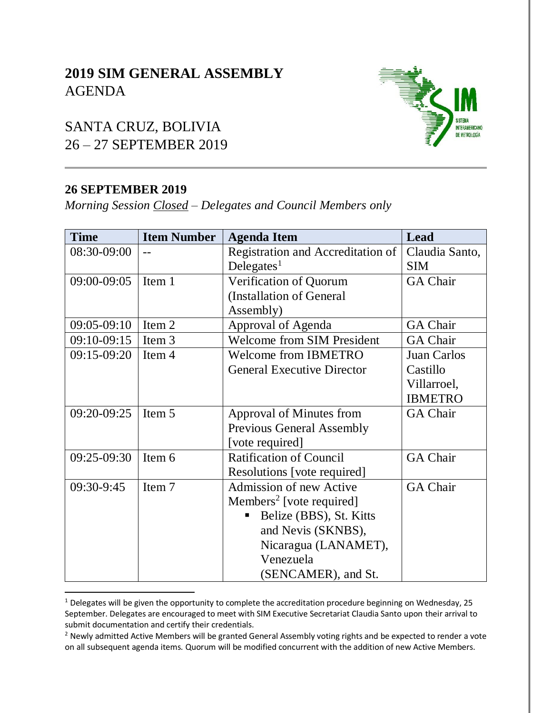# **2019 SIM GENERAL ASSEMBLY** AGENDA

# SANTA CRUZ, BOLIVIA 26 – 27 SEPTEMBER 2019

#### **26 SEPTEMBER 2019**

 $\overline{a}$ 

*Morning Session Closed – Delegates and Council Members only*

| <b>Time</b> | <b>Item Number</b> | <b>Agenda Item</b>                   | Lead            |
|-------------|--------------------|--------------------------------------|-----------------|
| 08:30-09:00 |                    | Registration and Accreditation of    | Claudia Santo,  |
|             |                    | Delegates <sup>1</sup>               | <b>SIM</b>      |
| 09:00-09:05 | Item 1             | Verification of Quorum               | <b>GA Chair</b> |
|             |                    | (Installation of General             |                 |
|             |                    | Assembly)                            |                 |
| 09:05-09:10 | Item 2             | Approval of Agenda                   | <b>GA Chair</b> |
| 09:10-09:15 | Item 3             | <b>Welcome from SIM President</b>    | <b>GA Chair</b> |
| 09:15-09:20 | Item 4             | <b>Welcome from IBMETRO</b>          | Juan Carlos     |
|             |                    | <b>General Executive Director</b>    | Castillo        |
|             |                    |                                      | Villarroel,     |
|             |                    |                                      | <b>IBMETRO</b>  |
| 09:20-09:25 | Item 5             | Approval of Minutes from             | <b>GA Chair</b> |
|             |                    | <b>Previous General Assembly</b>     |                 |
|             |                    | [vote required]                      |                 |
| 09:25-09:30 | Item 6             | <b>Ratification of Council</b>       | <b>GA Chair</b> |
|             |                    | Resolutions [vote required]          |                 |
| 09:30-9:45  | Item 7             | <b>Admission of new Active</b>       | <b>GA Chair</b> |
|             |                    | Members <sup>2</sup> [vote required] |                 |
|             |                    | Belize (BBS), St. Kitts              |                 |
|             |                    | and Nevis (SKNBS),                   |                 |
|             |                    | Nicaragua (LANAMET),                 |                 |
|             |                    | Venezuela                            |                 |
|             |                    | (SENCAMER), and St.                  |                 |

<sup>&</sup>lt;sup>1</sup> Delegates will be given the opportunity to complete the accreditation procedure beginning on Wednesday, 25 September. Delegates are encouraged to meet with SIM Executive Secretariat Claudia Santo upon their arrival to submit documentation and certify their credentials.



<sup>&</sup>lt;sup>2</sup> Newly admitted Active Members will be granted General Assembly voting rights and be expected to render a vote on all subsequent agenda items. Quorum will be modified concurrent with the addition of new Active Members.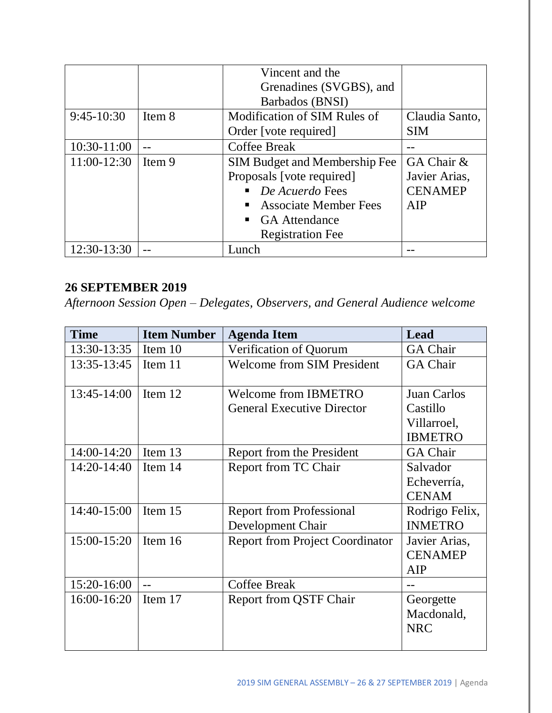|              |        | Vincent and the                                |                |
|--------------|--------|------------------------------------------------|----------------|
|              |        | Grenadines (SVGBS), and                        |                |
|              |        | Barbados (BNSI)                                |                |
| $9:45-10:30$ | Item 8 | Modification of SIM Rules of                   | Claudia Santo, |
|              |        | Order [vote required]                          | <b>SIM</b>     |
| 10:30-11:00  |        | <b>Coffee Break</b>                            |                |
| 11:00-12:30  | Item 9 | <b>SIM Budget and Membership Fee</b>           | GA Chair &     |
|              |        | Proposals [vote required]                      | Javier Arias,  |
|              |        | De Acuerdo Fees                                | <b>CENAMEP</b> |
|              |        | <b>Associate Member Fees</b><br>$\blacksquare$ | AIP            |
|              |        | • GA Attendance                                |                |
|              |        | <b>Registration Fee</b>                        |                |
| 12:30-13:30  |        | Lunch                                          |                |

### **26 SEPTEMBER 2019**

*Afternoon Session Open – Delegates, Observers, and General Audience welcome*

| <b>Time</b> | <b>Item Number</b> | <b>Agenda Item</b>                     | Lead            |
|-------------|--------------------|----------------------------------------|-----------------|
| 13:30-13:35 | Item 10            | Verification of Quorum                 | <b>GA Chair</b> |
| 13:35-13:45 | Item 11            | <b>Welcome from SIM President</b>      | <b>GA Chair</b> |
| 13:45-14:00 | Item 12            | <b>Welcome from IBMETRO</b>            | Juan Carlos     |
|             |                    | <b>General Executive Director</b>      | Castillo        |
|             |                    |                                        | Villarroel,     |
|             |                    |                                        | <b>IBMETRO</b>  |
| 14:00-14:20 | Item 13            | Report from the President              | <b>GA Chair</b> |
| 14:20-14:40 | Item 14            | Report from TC Chair                   | Salvador        |
|             |                    |                                        | Echeverría,     |
|             |                    |                                        | <b>CENAM</b>    |
| 14:40-15:00 | Item 15            | <b>Report from Professional</b>        | Rodrigo Felix,  |
|             |                    | Development Chair                      | <b>INMETRO</b>  |
| 15:00-15:20 | Item 16            | <b>Report from Project Coordinator</b> | Javier Arias,   |
|             |                    |                                        | <b>CENAMEP</b>  |
|             |                    |                                        | AIP             |
| 15:20-16:00 |                    | <b>Coffee Break</b>                    | --              |
| 16:00-16:20 | Item 17            | <b>Report from QSTF Chair</b>          | Georgette       |
|             |                    |                                        | Macdonald,      |
|             |                    |                                        | <b>NRC</b>      |
|             |                    |                                        |                 |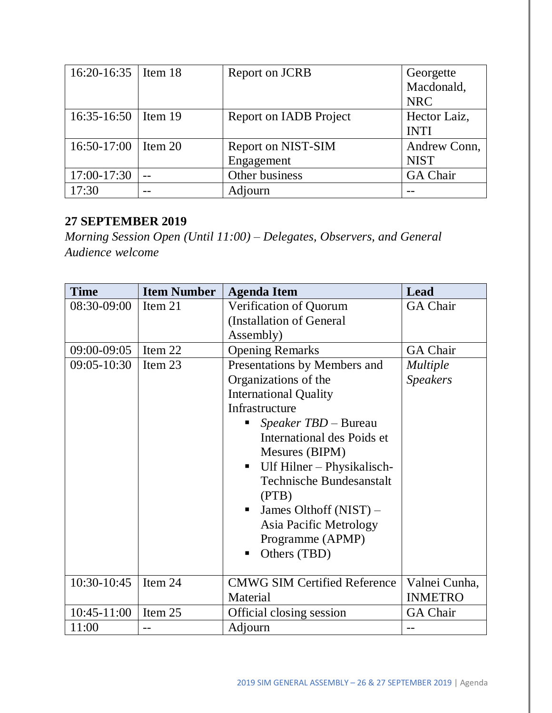| 16:20-16:35   Item 18 | Report on JCRB         | Georgette       |
|-----------------------|------------------------|-----------------|
|                       |                        | Macdonald,      |
|                       |                        | <b>NRC</b>      |
| 16:35-16:50   Item 19 | Report on IADB Project | Hector Laiz,    |
|                       |                        | <b>INTI</b>     |
| 16:50-17:00   Item 20 | Report on NIST-SIM     | Andrew Conn,    |
|                       | Engagement             | <b>NIST</b>     |
| 17:00-17:30           | Other business         | <b>GA Chair</b> |
| 17:30                 | Adjourn                |                 |

## **27 SEPTEMBER 2019**

*Morning Session Open (Until 11:00) – Delegates, Observers, and General Audience welcome*

| <b>Time</b>   | <b>Item Number</b> | <b>Agenda Item</b>                                                                                                                                                                                                                                                             | Lead            |
|---------------|--------------------|--------------------------------------------------------------------------------------------------------------------------------------------------------------------------------------------------------------------------------------------------------------------------------|-----------------|
| 08:30-09:00   | Item 21            | Verification of Quorum                                                                                                                                                                                                                                                         | <b>GA Chair</b> |
|               |                    | (Installation of General                                                                                                                                                                                                                                                       |                 |
|               |                    | Assembly)                                                                                                                                                                                                                                                                      |                 |
| 09:00-09:05   | Item 22            | <b>Opening Remarks</b>                                                                                                                                                                                                                                                         | <b>GA Chair</b> |
| $09:05-10:30$ | Item 23            | Presentations by Members and                                                                                                                                                                                                                                                   | <i>Multiple</i> |
|               |                    | Organizations of the                                                                                                                                                                                                                                                           | <b>Speakers</b> |
|               |                    | <b>International Quality</b>                                                                                                                                                                                                                                                   |                 |
|               |                    | Infrastructure                                                                                                                                                                                                                                                                 |                 |
|               |                    | <i>Speaker TBD – Bureau</i><br>ш<br>International des Poids et<br>Mesures (BIPM)<br>Ulf Hilner – Physikalisch-<br>$\blacksquare$<br><b>Technische Bundesanstalt</b><br>(PTB)<br>James Olthoff (NIST) –<br>٠<br>Asia Pacific Metrology<br>Programme (APMP)<br>Others (TBD)<br>п |                 |
| 10:30-10:45   | Item 24            | <b>CMWG SIM Certified Reference</b>                                                                                                                                                                                                                                            | Valnei Cunha,   |
|               |                    | Material                                                                                                                                                                                                                                                                       | <b>INMETRO</b>  |
| 10:45-11:00   | Item 25            | Official closing session                                                                                                                                                                                                                                                       | <b>GA Chair</b> |
| 11:00         | --                 | Adjourn                                                                                                                                                                                                                                                                        | --              |